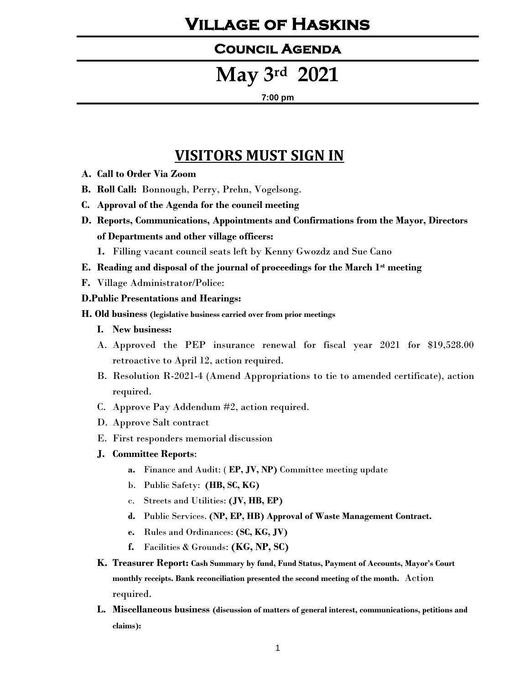## **Village of Haskins**

#### **Council Agenda**

# **May 3rd 2021**

#### **7:00 pm**

### **VISITORS MUST SIGN IN**

- **A. Call to Order Via Zoom**
- **B. Roll Call:** Bonnough, Perry, Prehn, Vogelsong.
- **C. Approval of the Agenda for the council meeting**
- **D. Reports, Communications, Appointments and Confirmations from the Mayor, Directors of Departments and other village officers:**
	- **1.** Filling vacant council seats left by Kenny Gwozdz and Sue Cano
- **E. Reading and disposal of the journal of proceedings for the March 1st meeting**
- **F.** Village Administrator/Police:

#### **D.Public Presentations and Hearings:**

- **H. Old business (legislative business carried over from prior meetings**
	- **I. New business:**
	- A. Approved the PEP insurance renewal for fiscal year 2021 for \$19,528.00 retroactive to April 12, action required.
	- B. Resolution R-2021-4 (Amend Appropriations to tie to amended certificate), action required.
	- C. Approve Pay Addendum #2, action required.
	- D. Approve Salt contract
	- E. First responders memorial discussion
	- **J. Committee Reports**:
		- **a.** Finance and Audit: ( **EP, JV, NP)** Committee meeting update
		- b. Public Safety: **(HB, SC, KG)**
		- c. Streets and Utilities: **(JV, HB, EP)**
		- **d.** Public Services. **(NP, EP, HB) Approval of Waste Management Contract.**
		- **e.** Rules and Ordinances: **(SC, KG, JV)**
		- **f.** Facilities & Grounds: **(KG, NP, SC)**
	- **K. Treasurer Report: Cash Summary by fund, Fund Status, Payment of Accounts, Mayor's Court monthly receipts. Bank reconciliation presented the second meeting of the month.** Action required.
	- **L. Miscellaneous business (discussion of matters of general interest, communications, petitions and claims):**